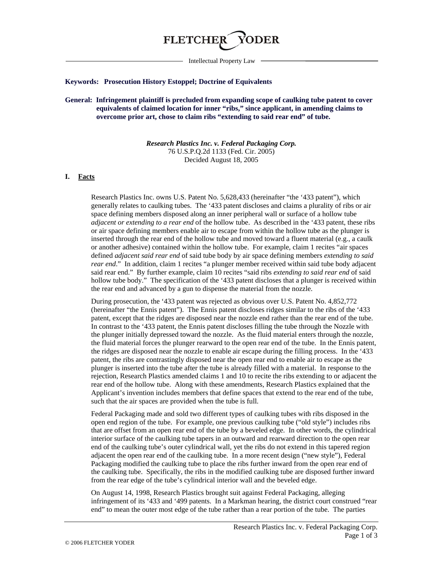

Intellectual Property Law

### **Keywords: Prosecution History Estoppel; Doctrine of Equivalents**

# **General: Infringement plaintiff is precluded from expanding scope of caulking tube patent to cover equivalents of claimed location for inner "ribs," since applicant, in amending claims to overcome prior art, chose to claim ribs "extending to said rear end" of tube.**

*Research Plastics Inc. v. Federal Packaging Corp.* 76 U.S.P.Q.2d 1133 (Fed. Cir. 2005) Decided August 18, 2005

### **I. Facts**

Research Plastics Inc. owns U.S. Patent No. 5,628,433 (hereinafter "the '433 patent"), which generally relates to caulking tubes. The '433 patent discloses and claims a plurality of ribs or air space defining members disposed along an inner peripheral wall or surface of a hollow tube *adjacent or extending to a rear end* of the hollow tube. As described in the '433 patent, these ribs or air space defining members enable air to escape from within the hollow tube as the plunger is inserted through the rear end of the hollow tube and moved toward a fluent material (e.g., a caulk or another adhesive) contained within the hollow tube. For example, claim 1 recites "air spaces defined *adjacent said rear end* of said tube body by air space defining members *extending to said rear end*." In addition, claim 1 recites "a plunger member received within said tube body adjacent said rear end." By further example, claim 10 recites "said ribs *extending to said rear end* of said hollow tube body." The specification of the '433 patent discloses that a plunger is received within the rear end and advanced by a gun to dispense the material from the nozzle.

During prosecution, the '433 patent was rejected as obvious over U.S. Patent No. 4,852,772 (hereinafter "the Ennis patent"). The Ennis patent discloses ridges similar to the ribs of the '433 patent, except that the ridges are disposed near the nozzle end rather than the rear end of the tube. In contrast to the '433 patent, the Ennis patent discloses filling the tube through the Nozzle with the plunger initially depressed toward the nozzle. As the fluid material enters through the nozzle, the fluid material forces the plunger rearward to the open rear end of the tube. In the Ennis patent, the ridges are disposed near the nozzle to enable air escape during the filling process. In the '433 patent, the ribs are contrastingly disposed near the open rear end to enable air to escape as the plunger is inserted into the tube after the tube is already filled with a material. In response to the rejection, Research Plastics amended claims 1 and 10 to recite the ribs extending to or adjacent the rear end of the hollow tube. Along with these amendments, Research Plastics explained that the Applicant's invention includes members that define spaces that extend to the rear end of the tube, such that the air spaces are provided when the tube is full.

Federal Packaging made and sold two different types of caulking tubes with ribs disposed in the open end region of the tube. For example, one previous caulking tube ("old style") includes ribs that are offset from an open rear end of the tube by a beveled edge. In other words, the cylindrical interior surface of the caulking tube tapers in an outward and rearward direction to the open rear end of the caulking tube's outer cylindrical wall, yet the ribs do not extend in this tapered region adjacent the open rear end of the caulking tube. In a more recent design ("new style"), Federal Packaging modified the caulking tube to place the ribs further inward from the open rear end of the caulking tube. Specifically, the ribs in the modified caulking tube are disposed further inward from the rear edge of the tube's cylindrical interior wall and the beveled edge.

On August 14, 1998, Research Plastics brought suit against Federal Packaging, alleging infringement of its '433 and '499 patents. In a Markman hearing, the district court construed "rear end" to mean the outer most edge of the tube rather than a rear portion of the tube. The parties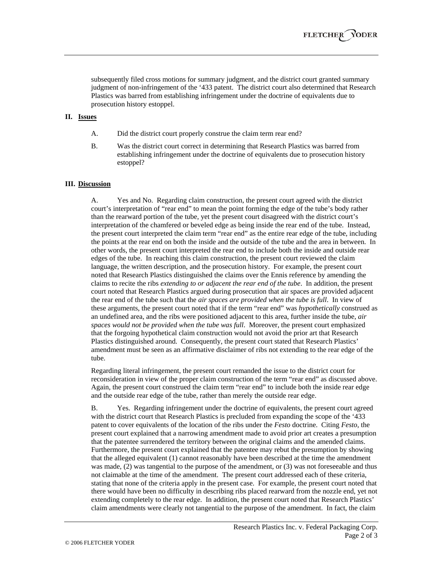subsequently filed cross motions for summary judgment, and the district court granted summary judgment of non-infringement of the '433 patent. The district court also determined that Research Plastics was barred from establishing infringement under the doctrine of equivalents due to prosecution history estoppel.

### **II. Issues**

- A. Did the district court properly construe the claim term rear end?
- B. Was the district court correct in determining that Research Plastics was barred from establishing infringement under the doctrine of equivalents due to prosecution history estoppel?

# **III. Discussion**

A. Yes and No. Regarding claim construction, the present court agreed with the district court's interpretation of "rear end" to mean the point forming the edge of the tube's body rather than the rearward portion of the tube, yet the present court disagreed with the district court's interpretation of the chamfered or beveled edge as being inside the rear end of the tube. Instead, the present court interpreted the claim term "rear end" as the entire rear edge of the tube, including the points at the rear end on both the inside and the outside of the tube and the area in between. In other words, the present court interpreted the rear end to include both the inside and outside rear edges of the tube. In reaching this claim construction, the present court reviewed the claim language, the written description, and the prosecution history. For example, the present court noted that Research Plastics distinguished the claims over the Ennis reference by amending the claims to recite the ribs *extending to or adjacent the rear end of the tube*. In addition, the present court noted that Research Plastics argued during prosecution that air spaces are provided adjacent the rear end of the tube such that the *air spaces are provided when the tube is full*. In view of these arguments, the present court noted that if the term "rear end" was *hypothetically* construed as an undefined area, and the ribs were positioned adjacent to this area, further inside the tube, *air spaces would not be provided when the tube was full*. Moreover, the present court emphasized that the forgoing hypothetical claim construction would not avoid the prior art that Research Plastics distinguished around. Consequently, the present court stated that Research Plastics' amendment must be seen as an affirmative disclaimer of ribs not extending to the rear edge of the tube.

Regarding literal infringement, the present court remanded the issue to the district court for reconsideration in view of the proper claim construction of the term "rear end" as discussed above. Again, the present court construed the claim term "rear end" to include both the inside rear edge and the outside rear edge of the tube, rather than merely the outside rear edge.

B. Yes. Regarding infringement under the doctrine of equivalents, the present court agreed with the district court that Research Plastics is precluded from expanding the scope of the '433 patent to cover equivalents of the location of the ribs under the *Festo* doctrine. Citing *Festo*, the present court explained that a narrowing amendment made to avoid prior art creates a presumption that the patentee surrendered the territory between the original claims and the amended claims. Furthermore, the present court explained that the patentee may rebut the presumption by showing that the alleged equivalent (1) cannot reasonably have been described at the time the amendment was made, (2) was tangential to the purpose of the amendment, or (3) was not foreseeable and thus not claimable at the time of the amendment. The present court addressed each of these criteria, stating that none of the criteria apply in the present case. For example, the present court noted that there would have been no difficulty in describing ribs placed rearward from the nozzle end, yet not extending completely to the rear edge. In addition, the present court noted that Research Plastics' claim amendments were clearly not tangential to the purpose of the amendment. In fact, the claim